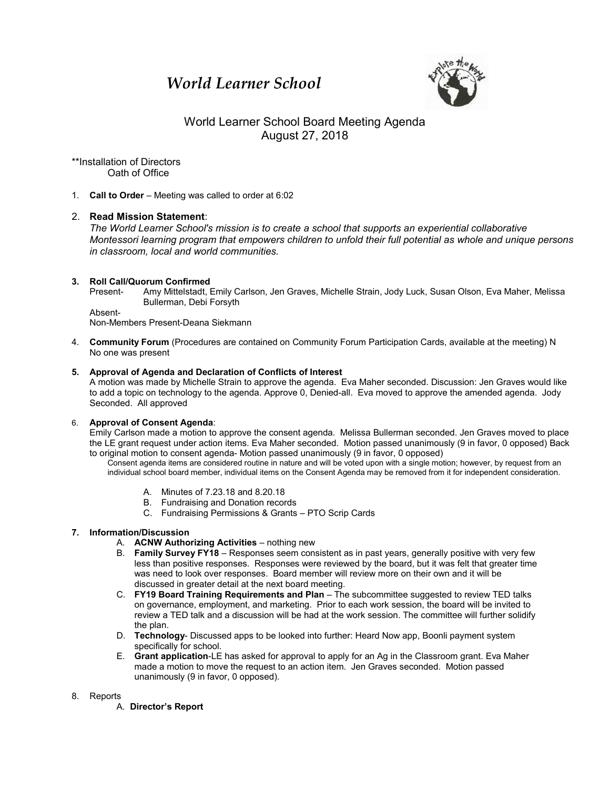# *World Learner School*



# World Learner School Board Meeting Agenda August 27, 2018

\*\*Installation of Directors Oath of Office

1. **Call to Order** – Meeting was called to order at 6:02

## 2. **Read Mission Statement**:

*The World Learner School's mission is to create a school that supports an experiential collaborative Montessori learning program that empowers children to unfold their full potential as whole and unique persons in classroom, local and world communities.*

#### **3. Roll Call/Quorum Confirmed**

Present- Amy Mittelstadt, Emily Carlson, Jen Graves, Michelle Strain, Jody Luck, Susan Olson, Eva Maher, Melissa Bullerman, Debi Forsyth

Absent-

Non-Members Present-Deana Siekmann

4. **Community Forum** (Procedures are contained on Community Forum Participation Cards, available at the meeting) N No one was present

#### **5. Approval of Agenda and Declaration of Conflicts of Interest**

A motion was made by Michelle Strain to approve the agenda. Eva Maher seconded. Discussion: Jen Graves would like to add a topic on technology to the agenda. Approve 0, Denied-all. Eva moved to approve the amended agenda. Jody Seconded. All approved

## 6. **Approval of Consent Agenda**:

Emily Carlson made a motion to approve the consent agenda. Melissa Bullerman seconded. Jen Graves moved to place the LE grant request under action items. Eva Maher seconded. Motion passed unanimously (9 in favor, 0 opposed) Back to original motion to consent agenda- Motion passed unanimously (9 in favor, 0 opposed)

Consent agenda items are considered routine in nature and will be voted upon with a single motion; however, by request from an individual school board member, individual items on the Consent Agenda may be removed from it for independent consideration.

- A. Minutes of 7.23.18 and 8.20.18
- B. Fundraising and Donation records
- C. Fundraising Permissions & Grants PTO Scrip Cards

## **7. Information/Discussion**

- A. **ACNW Authorizing Activities** nothing new
- B. **Family Survey FY18** Responses seem consistent as in past years, generally positive with very few less than positive responses. Responses were reviewed by the board, but it was felt that greater time was need to look over responses. Board member will review more on their own and it will be discussed in greater detail at the next board meeting.
- C. **FY19 Board Training Requirements and Plan** The subcommittee suggested to review TED talks on governance, employment, and marketing. Prior to each work session, the board will be invited to review a TED talk and a discussion will be had at the work session. The committee will further solidify the plan.
- D. **Technology** Discussed apps to be looked into further: Heard Now app, Boonli payment system specifically for school.
- E. **Grant application**-LE has asked for approval to apply for an Ag in the Classroom grant. Eva Maher made a motion to move the request to an action item. Jen Graves seconded. Motion passed unanimously (9 in favor, 0 opposed).

#### 8. Reports

A. **Director's Report**